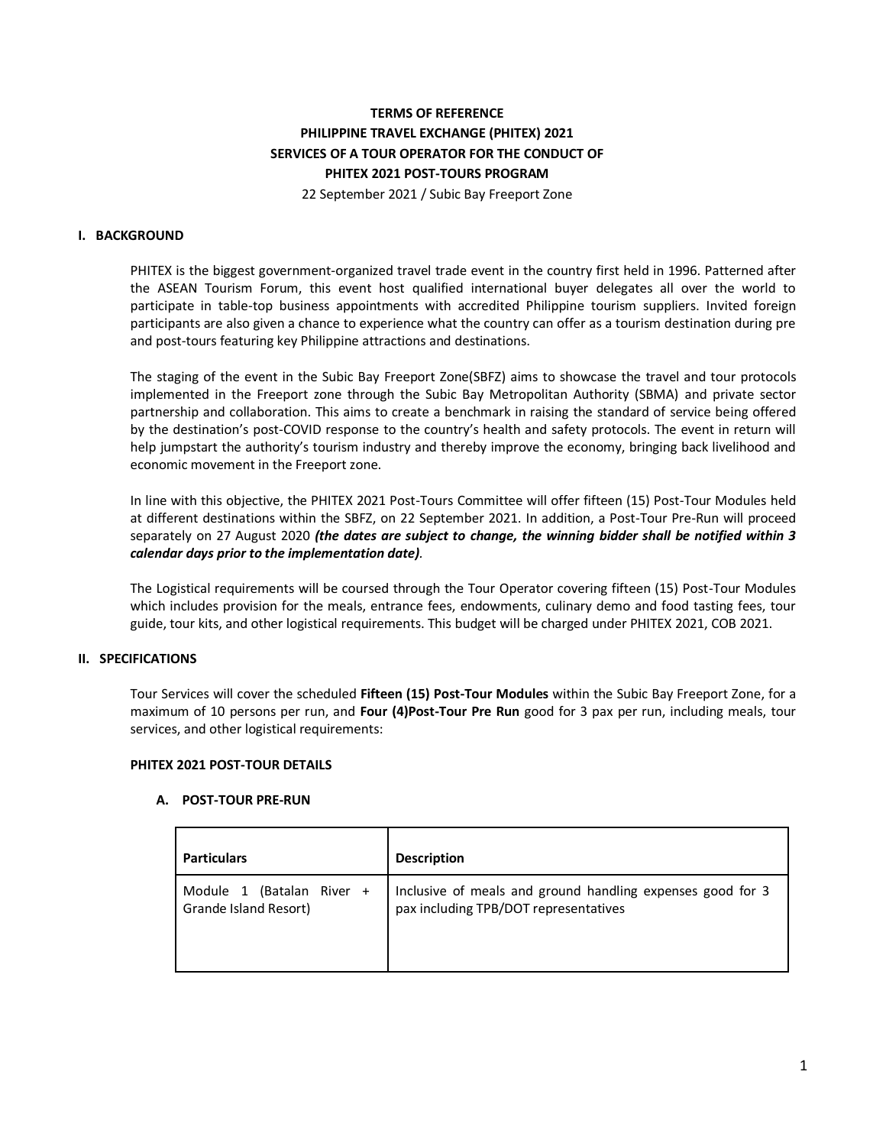# **TERMS OF REFERENCE PHILIPPINE TRAVEL EXCHANGE (PHITEX) 2021 SERVICES OF A TOUR OPERATOR FOR THE CONDUCT OF PHITEX 2021 POST-TOURS PROGRAM** 22 September 2021 / Subic Bay Freeport Zone

### **I. BACKGROUND**

PHITEX is the biggest government-organized travel trade event in the country first held in 1996. Patterned after the ASEAN Tourism Forum, this event host qualified international buyer delegates all over the world to participate in table-top business appointments with accredited Philippine tourism suppliers. Invited foreign participants are also given a chance to experience what the country can offer as a tourism destination during pre and post-tours featuring key Philippine attractions and destinations.

The staging of the event in the Subic Bay Freeport Zone(SBFZ) aims to showcase the travel and tour protocols implemented in the Freeport zone through the Subic Bay Metropolitan Authority (SBMA) and private sector partnership and collaboration. This aims to create a benchmark in raising the standard of service being offered by the destination's post-COVID response to the country's health and safety protocols. The event in return will help jumpstart the authority's tourism industry and thereby improve the economy, bringing back livelihood and economic movement in the Freeport zone.

In line with this objective, the PHITEX 2021 Post-Tours Committee will offer fifteen (15) Post-Tour Modules held at different destinations within the SBFZ, on 22 September 2021. In addition, a Post-Tour Pre-Run will proceed separately on 27 August 2020 *(the dates are subject to change, the winning bidder shall be notified within 3 calendar days prior to the implementation date).*

The Logistical requirements will be coursed through the Tour Operator covering fifteen (15) Post-Tour Modules which includes provision for the meals, entrance fees, endowments, culinary demo and food tasting fees, tour guide, tour kits, and other logistical requirements. This budget will be charged under PHITEX 2021, COB 2021.

### **II. SPECIFICATIONS**

Tour Services will cover the scheduled **Fifteen (15) Post-Tour Modules** within the Subic Bay Freeport Zone, for a maximum of 10 persons per run, and **Four (4)Post-Tour Pre Run** good for 3 pax per run, including meals, tour services, and other logistical requirements:

### **PHITEX 2021 POST-TOUR DETAILS**

### **A. POST-TOUR PRE-RUN**

| <b>Particulars</b>                                    | <b>Description</b>                                                                                  |
|-------------------------------------------------------|-----------------------------------------------------------------------------------------------------|
| (Batalan River +<br>Module 1<br>Grande Island Resort) | Inclusive of meals and ground handling expenses good for 3<br>pax including TPB/DOT representatives |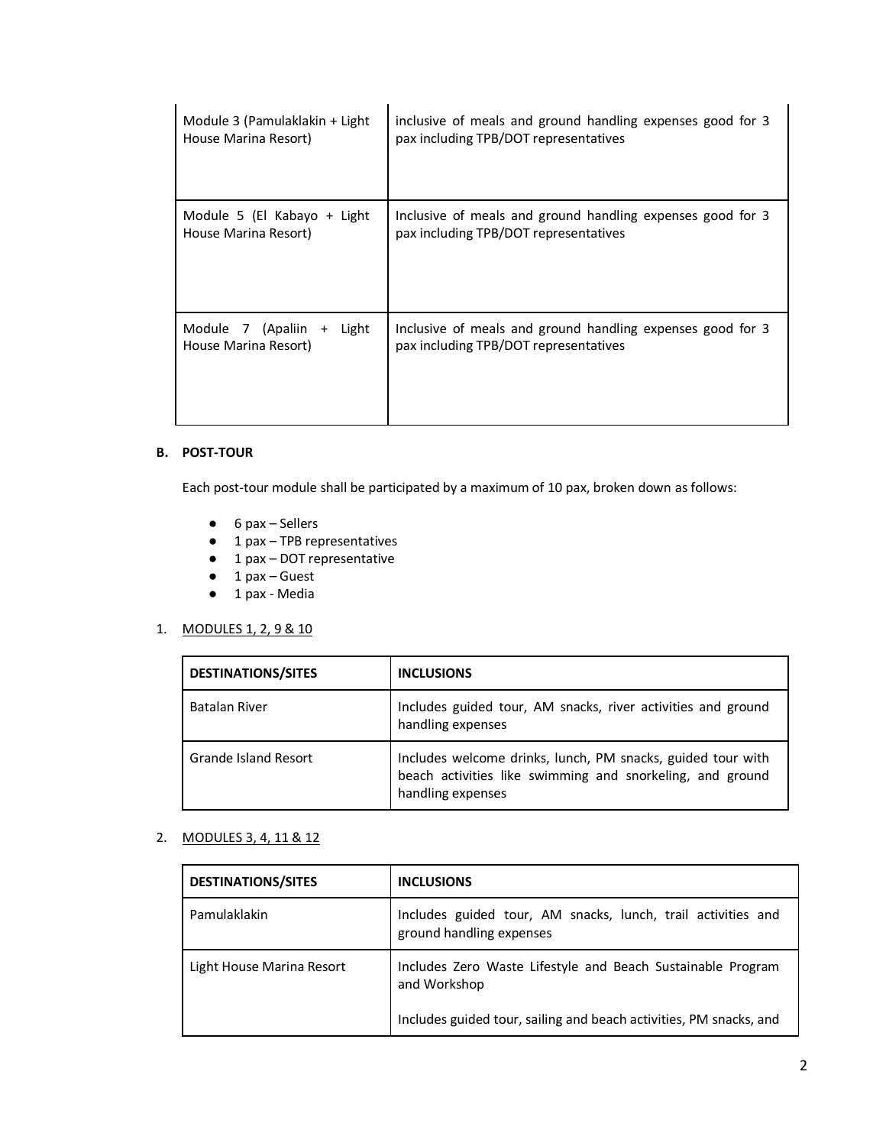| Module 3 (Pamulaklakin + Light                       | inclusive of meals and ground handling expenses good for 3                                          |
|------------------------------------------------------|-----------------------------------------------------------------------------------------------------|
| House Marina Resort)                                 | pax including TPB/DOT representatives                                                               |
| Module 5 (El Kabayo + Light                          | Inclusive of meals and ground handling expenses good for 3                                          |
| House Marina Resort)                                 | pax including TPB/DOT representatives                                                               |
| Module 7 (Apaliin +<br>Light<br>House Marina Resort) | Inclusive of meals and ground handling expenses good for 3<br>pax including TPB/DOT representatives |

### **B. POST-TOUR**

Each post-tour module shall be participated by a maximum of 10 pax, broken down as follows:

- $\bullet$  6 pax Sellers
- 1 pax TPB representatives
- 1 pax DOT representative
- 1 pax Guest
- 1 pax Media

## 1. MODULES 1, 2, 9 & 10

| <b>DESTINATIONS/SITES</b> | <b>INCLUSIONS</b>                                                                                                                             |
|---------------------------|-----------------------------------------------------------------------------------------------------------------------------------------------|
| Batalan River             | Includes guided tour, AM snacks, river activities and ground<br>handling expenses                                                             |
| Grande Island Resort      | Includes welcome drinks, lunch, PM snacks, guided tour with<br>beach activities like swimming and snorkeling, and ground<br>handling expenses |

## 2. MODULES 3, 4, 11 & 12

| <b>DESTINATIONS/SITES</b> | <b>INCLUSIONS</b>                                                                        |
|---------------------------|------------------------------------------------------------------------------------------|
| Pamulaklakin              | Includes guided tour, AM snacks, lunch, trail activities and<br>ground handling expenses |
| Light House Marina Resort | Includes Zero Waste Lifestyle and Beach Sustainable Program<br>and Workshop              |
|                           | Includes guided tour, sailing and beach activities, PM snacks, and                       |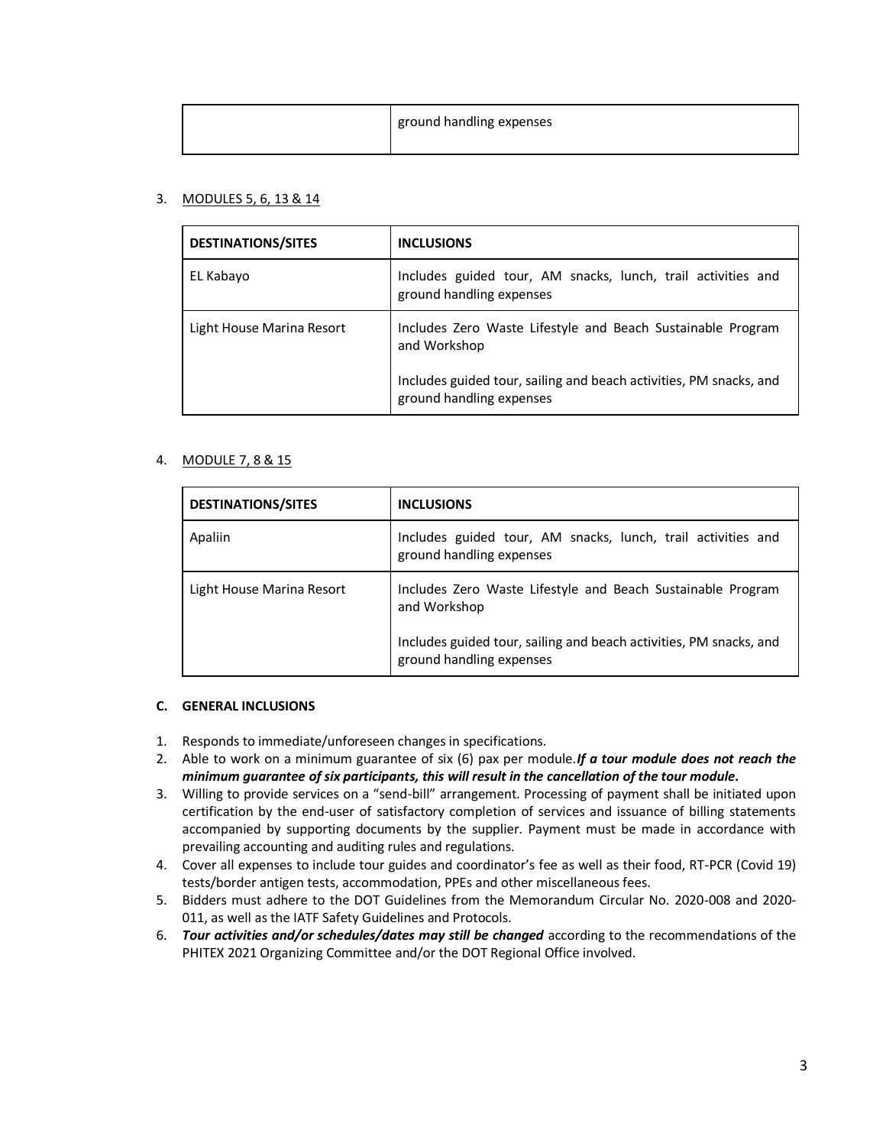|  | ground handling expenses |
|--|--------------------------|
|--|--------------------------|

## 3. MODULES 5, 6, 13 & 14

| <b>DESTINATIONS/SITES</b> | <b>INCLUSIONS</b>                                                                                                                                                             |
|---------------------------|-------------------------------------------------------------------------------------------------------------------------------------------------------------------------------|
| EL Kabayo                 | Includes guided tour, AM snacks, lunch, trail activities and<br>ground handling expenses                                                                                      |
| Light House Marina Resort | Includes Zero Waste Lifestyle and Beach Sustainable Program<br>and Workshop<br>Includes guided tour, sailing and beach activities, PM snacks, and<br>ground handling expenses |

# 4. MODULE 7, 8 & 15

| <b>DESTINATIONS/SITES</b> | <b>INCLUSIONS</b>                                                                                                                                 |
|---------------------------|---------------------------------------------------------------------------------------------------------------------------------------------------|
| Apaliin                   | Includes guided tour, AM snacks, lunch, trail activities and<br>ground handling expenses                                                          |
| Light House Marina Resort | Includes Zero Waste Lifestyle and Beach Sustainable Program<br>and Workshop<br>Includes guided tour, sailing and beach activities, PM snacks, and |
|                           | ground handling expenses                                                                                                                          |

## **C. GENERAL INCLUSIONS**

- 1. Responds to immediate/unforeseen changes in specifications.
- 2. Able to work on a minimum guarantee of six (6) pax per module.*If a tour module does not reach the minimum guarantee of six participants, this will result in the cancellation of the tour module.*
- 3. Willing to provide services on a "send-bill" arrangement. Processing of payment shall be initiated upon certification by the end-user of satisfactory completion of services and issuance of billing statements accompanied by supporting documents by the supplier. Payment must be made in accordance with prevailing accounting and auditing rules and regulations.
- 4. Cover all expenses to include tour guides and coordinator's fee as well as their food, RT-PCR (Covid 19) tests/border antigen tests, accommodation, PPEs and other miscellaneous fees.
- 5. Bidders must adhere to the DOT Guidelines from the Memorandum Circular No. 2020-008 and 2020- 011, as well as the IATF Safety Guidelines and Protocols.
- 6. *Tour activities and/or schedules/dates may still be changed* according to the recommendations of the PHITEX 2021 Organizing Committee and/or the DOT Regional Office involved.